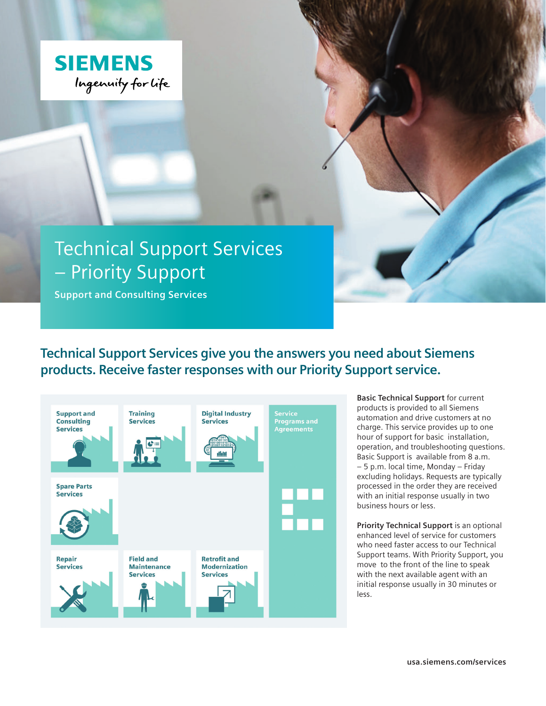

# Technical Support Services – Priority Support

**Support and Consulting Services**

**Technical Support Services give you the answers you need about Siemens products. Receive faster responses with our Priority Support service.** 



**Basic Technical Support** for current products is provided to all Siemens automation and drive customers at no charge. This service provides up to one hour of support for basic installation, operation, and troubleshooting questions. Basic Support is available from 8 a.m. – 5 p.m. local time, Monday – Friday excluding holidays. Requests are typically processed in the order they are received with an initial response usually in two business hours or less.

**Priority Technical Support** is an optional enhanced level of service for customers who need faster access to our Technical Support teams. With Priority Support, you move to the front of the line to speak with the next available agent with an initial response usually in 30 minutes or less.